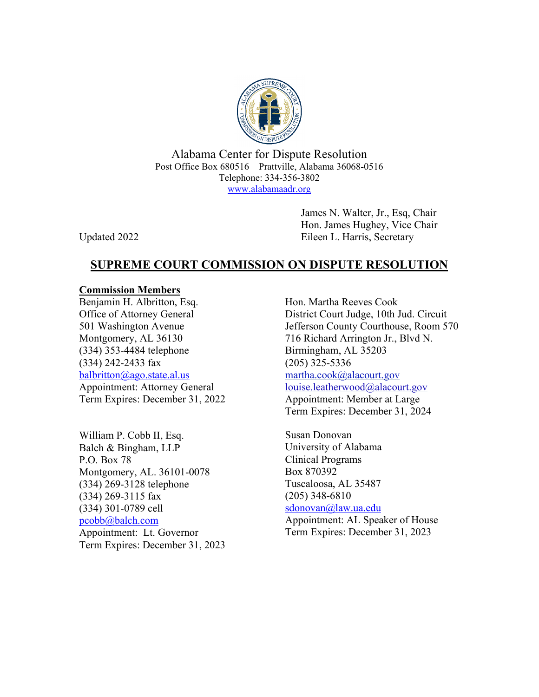

Alabama Center for Dispute Resolution Post Office Box 680516 Prattville, Alabama 36068-0516 Telephone: 334-356-3802 www.alabamaadr.org

 James N. Walter, Jr., Esq, Chair Hon. James Hughey, Vice Chair Updated 2022 Eileen L. Harris, Secretary

# **SUPREME COURT COMMISSION ON DISPUTE RESOLUTION**

## **Commission Members**

Benjamin H. Albritton, Esq. Office of Attorney General 501 Washington Avenue Montgomery, AL 36130 (334) 353-4484 telephone (334) 242-2433 fax balbritton@ago.state.al.us Appointment: Attorney General Term Expires: December 31, 2022

William P. Cobb II, Esq. Balch & Bingham, LLP P.O. Box 78 Montgomery, AL. 36101-0078 (334) 269-3128 telephone (334) 269-3115 fax (334) 301-0789 cell pcobb@balch.com Appointment: Lt. Governor Term Expires: December 31, 2023 Hon. Martha Reeves Cook District Court Judge, 10th Jud. Circuit Jefferson County Courthouse, Room 570 716 Richard Arrington Jr., Blvd N. Birmingham, AL 35203 (205) 325-5336 martha.cook@alacourt.gov louise.leatherwood@alacourt.gov Appointment: Member at Large Term Expires: December 31, 2024

Susan Donovan University of Alabama Clinical Programs Box 870392 Tuscaloosa, AL 35487 (205) 348-6810 sdonovan@law.ua.edu

Appointment: AL Speaker of House Term Expires: December 31, 2023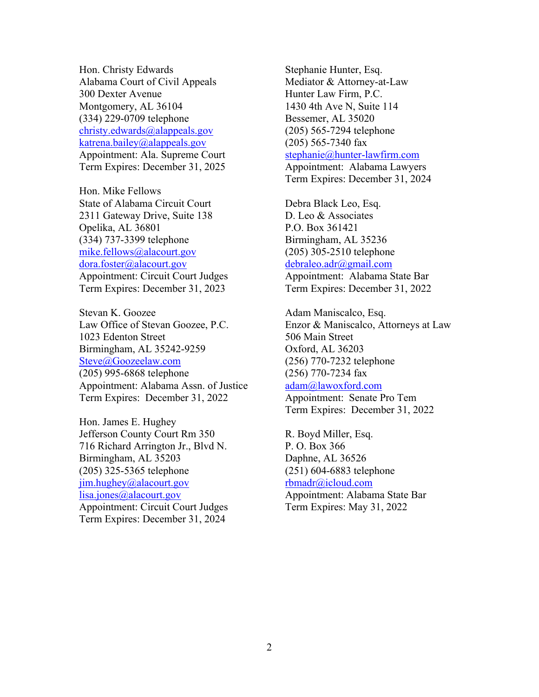Hon. Christy Edwards Alabama Court of Civil Appeals 300 Dexter Avenue Montgomery, AL 36104 (334) 229-0709 telephone christy.edwards@alappeals.gov katrena.bailey@alappeals.gov Appointment: Ala. Supreme Court Term Expires: December 31, 2025

Hon. Mike Fellows State of Alabama Circuit Court 2311 Gateway Drive, Suite 138 Opelika, AL 36801 (334) 737-3399 telephone mike.fellows@alacourt.gov dora.foster@alacourt.gov Appointment: Circuit Court Judges Term Expires: December 31, 2023

Stevan K. Goozee Law Office of Stevan Goozee, P.C. 1023 Edenton Street Birmingham, AL 35242-9259 Steve@Goozeelaw.com (205) 995-6868 telephone Appointment: Alabama Assn. of Justice Term Expires: December 31, 2022

Hon. James E. Hughey Jefferson County Court Rm 350 716 Richard Arrington Jr., Blvd N. Birmingham, AL 35203 (205) 325-5365 telephone jim.hughey@alacourt.gov lisa.jones@alacourt.gov Appointment: Circuit Court Judges Term Expires: December 31, 2024

Stephanie Hunter, Esq. Mediator & Attorney-at-Law Hunter Law Firm, P.C. 1430 4th Ave N, Suite 114 Bessemer, AL 35020 (205) 565-7294 telephone (205) 565-7340 fax stephanie@hunter-lawfirm.com Appointment: Alabama Lawyers Term Expires: December 31, 2024

Debra Black Leo, Esq. D. Leo & Associates P.O. Box 361421 Birmingham, AL 35236 (205) 305-2510 telephone debraleo.adr@gmail.com Appointment: Alabama State Bar

Term Expires: December 31, 2022

Adam Maniscalco, Esq. Enzor & Maniscalco, Attorneys at Law 506 Main Street Oxford, AL 36203 (256) 770-7232 telephone (256) 770-7234 fax adam@lawoxford.com Appointment: Senate Pro Tem Term Expires: December 31, 2022

R. Boyd Miller, Esq. P. O. Box 366 Daphne, AL 36526 (251) 604-6883 telephone rbmadr@icloud.com Appointment: Alabama State Bar

Term Expires: May 31, 2022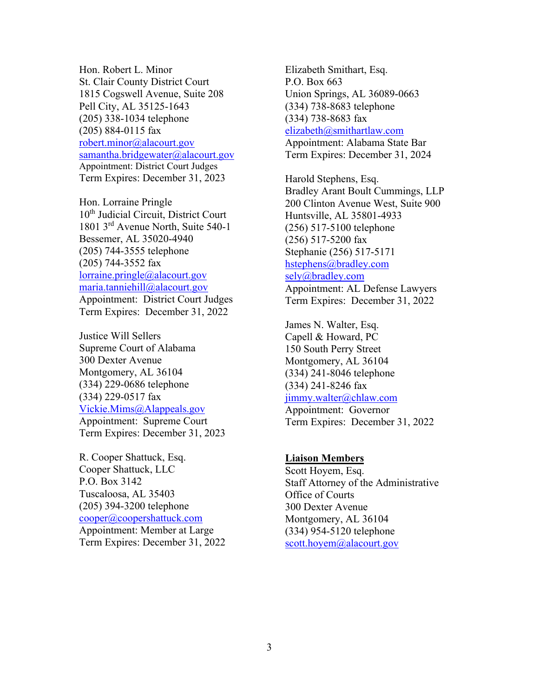Hon. Robert L. Minor St. Clair County District Court 1815 Cogswell Avenue, Suite 208 Pell City, AL 35125-1643 (205) 338-1034 telephone (205) 884-0115 fax robert.minor@alacourt.gov samantha.bridgewater@alacourt.gov Appointment: District Court Judges Term Expires: December 31, 2023

Hon. Lorraine Pringle 10<sup>th</sup> Judicial Circuit, District Court 1801 3rd Avenue North, Suite 540-1 Bessemer, AL 35020-4940 (205) 744-3555 telephone (205) 744-3552 fax lorraine.pringle@alacourt.gov maria.tanniehill@alacourt.gov Appointment: District Court Judges Term Expires: December 31, 2022

Justice Will Sellers Supreme Court of Alabama 300 Dexter Avenue Montgomery, AL 36104 (334) 229-0686 telephone (334) 229-0517 fax Vickie.Mims@Alappeals.gov Appointment: Supreme Court Term Expires: December 31, 2023

R. Cooper Shattuck, Esq. Cooper Shattuck, LLC P.O. Box 3142 Tuscaloosa, AL 35403 (205) 394-3200 telephone cooper@coopershattuck.com Appointment: Member at Large Term Expires: December 31, 2022 Elizabeth Smithart, Esq. P.O. Box 663 Union Springs, AL 36089-0663 (334) 738-8683 telephone (334) 738-8683 fax elizabeth@smithartlaw.com Appointment: Alabama State Bar Term Expires: December 31, 2024

Harold Stephens, Esq. Bradley Arant Boult Cummings, LLP 200 Clinton Avenue West, Suite 900 Huntsville, AL 35801-4933 (256) 517-5100 telephone (256) 517-5200 fax Stephanie (256) 517-5171 hstephens@bradley.com sely@bradley.com Appointment: AL Defense Lawyers Term Expires: December 31, 2022

James N. Walter, Esq. Capell & Howard, PC 150 South Perry Street Montgomery, AL 36104 (334) 241-8046 telephone (334) 241-8246 fax jimmy.walter@chlaw.com Appointment: Governor

Term Expires: December 31, 2022

#### **Liaison Members**

Scott Hoyem, Esq. Staff Attorney of the Administrative Office of Courts 300 Dexter Avenue Montgomery, AL 36104 (334) 954-5120 telephone scott.hoyem@alacourt.gov